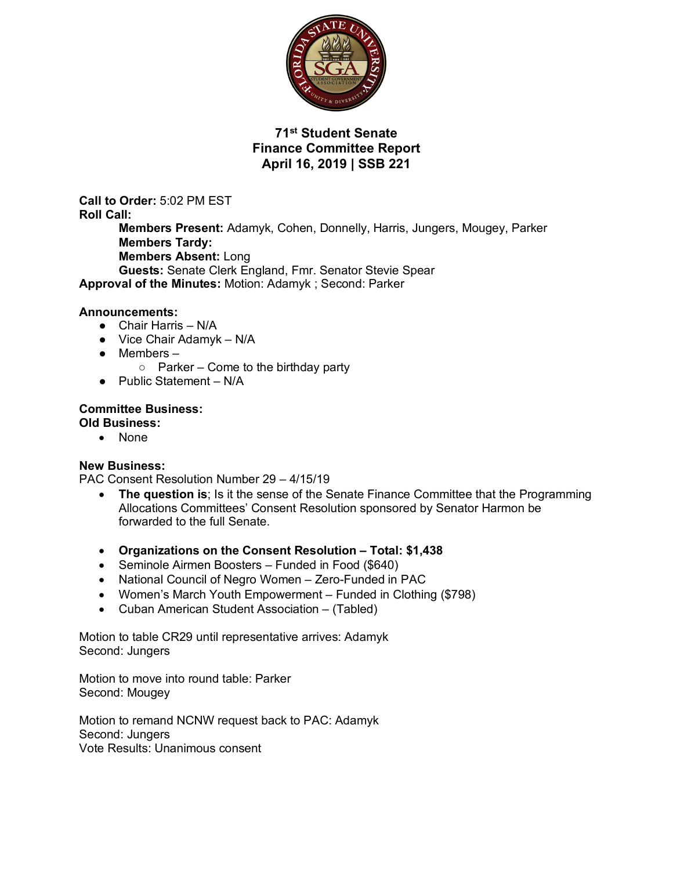

# **71st Student Senate Finance Committee Report April 16, 2019 | SSB 221**

**Call to Order:** 5:02 PM EST **Roll Call: Members Present:** Adamyk, Cohen, Donnelly, Harris, Jungers, Mougey, Parker **Members Tardy: Members Absent:** Long **Guests:** Senate Clerk England, Fmr. Senator Stevie Spear **Approval of the Minutes:** Motion: Adamyk ; Second: Parker

### **Announcements:**

- Chair Harris N/A
- $\bullet$  Vice Chair Adamyk N/A
- Members
	- $\circ$  Parker Come to the birthday party
- Public Statement N/A

#### **Committee Business: Old Business:**

• None

### **New Business:**

PAC Consent Resolution Number 29 – 4/15/19

- **The question is**; Is it the sense of the Senate Finance Committee that the Programming Allocations Committees' Consent Resolution sponsored by Senator Harmon be forwarded to the full Senate.
- **Organizations on the Consent Resolution – Total: \$1,438**
- Seminole Airmen Boosters Funded in Food (\$640)
- National Council of Negro Women Zero-Funded in PAC
- Women's March Youth Empowerment Funded in Clothing (\$798)
- Cuban American Student Association (Tabled)

Motion to table CR29 until representative arrives: Adamyk Second: Jungers

Motion to move into round table: Parker Second: Mougey

Motion to remand NCNW request back to PAC: Adamyk Second: Jungers Vote Results: Unanimous consent